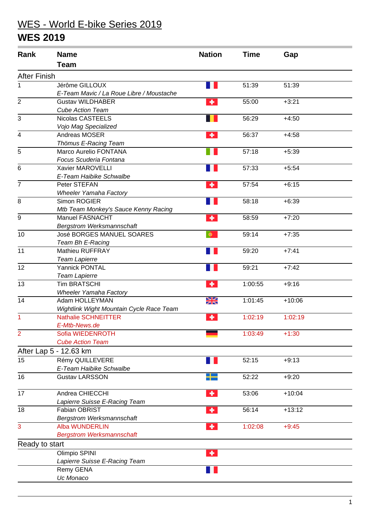## WES - World E-bike Series 2019

## **WES 2019**

| Rank                | <b>Name</b>                              | <b>Nation</b> | <b>Time</b> | Gap      |
|---------------------|------------------------------------------|---------------|-------------|----------|
|                     | <b>Team</b>                              |               |             |          |
| <b>After Finish</b> |                                          |               |             |          |
| 1                   | Jérôme GILLOUX                           |               | 51:39       | 51:39    |
|                     | E-Team Mavic / La Roue Libre / Moustache |               |             |          |
| $\overline{2}$      | <b>Gustav WILDHABER</b>                  | ٠             | 55:00       | $+3:21$  |
|                     | <b>Cube Action Team</b>                  |               |             |          |
| 3                   | Nicolas CASTEELS                         |               | 56:29       | $+4:50$  |
|                     | Vojo Mag Specialized                     |               |             |          |
| 4                   | Andreas MOSER                            | ٠             | 56:37       | $+4:58$  |
|                     | Thömus E-Racing Team                     |               |             |          |
| 5                   | Marco Aurelio FONTANA                    |               | 57:18       | $+5:39$  |
|                     | Focus Scuderia Fontana                   |               |             |          |
| 6                   | Xavier MAROVELLI                         |               | 57:33       | $+5:54$  |
|                     | E-Team Haibike Schwalbe                  |               |             |          |
| $\overline{7}$      | Peter STEFAN                             | ٠             | 57:54       | $+6:15$  |
|                     | <b>Wheeler Yamaha Factory</b>            |               |             |          |
| 8                   | Simon ROGIER                             |               | 58:18       | $+6:39$  |
|                     | Mtb Team Monkey's Sauce Kenny Racing     |               |             |          |
| 9                   | <b>Manuel FASNACHT</b>                   | ٠             | 58:59       | $+7:20$  |
|                     | <b>Bergstrom Werksmannschaft</b>         |               |             |          |
| 10                  | José BORGES MANUEL SOARES                | $\bullet$     | 59:14       | $+7:35$  |
|                     | Team Bh E-Racing                         |               |             |          |
| 11                  | <b>Mathieu RUFFRAY</b>                   |               | 59:20       | $+7:41$  |
|                     | <b>Team Lapierre</b>                     |               |             |          |
| 12                  | Yannick PONTAL                           |               | 59:21       | $+7:42$  |
|                     | <b>Team Lapierre</b>                     |               |             |          |
| 13                  | <b>Tim BRATSCHI</b>                      | ٠             | 1:00:55     | $+9:16$  |
|                     | <b>Wheeler Yamaha Factory</b>            |               |             |          |
| 14                  | Adam HOLLEYMAN                           | W<br>$\times$ | 1:01:45     | $+10:06$ |
|                     | Wightlink Wight Mountain Cycle Race Team |               |             |          |
| $\overline{1}$      | <b>Nathalie SCHNEITTER</b>               | ٠             | 1:02:19     | 1:02:19  |
|                     | E-Mtb-News.de                            |               |             |          |
| $\overline{2}$      | Sofia WIEDENROTH                         |               | 1:03:49     | $+1:30$  |
|                     | <b>Cube Action Team</b>                  |               |             |          |
|                     | After Lap 5 - 12.63 km                   |               |             |          |
| 15                  | Rémy QUILLEVERE                          |               | 52:15       | $+9:13$  |
|                     | E-Team Haibike Schwalbe                  |               |             |          |
| 16                  | <b>Gustav LARSSON</b>                    |               | 52:22       | $+9:20$  |
|                     |                                          |               |             |          |
| 17                  | Andrea CHIECCHI                          | ٠             | 53:06       | $+10:04$ |
|                     | Lapierre Suisse E-Racing Team            |               |             |          |
| 18                  | <b>Fabian OBRIST</b>                     | ۰             | 56:14       | $+13:12$ |
|                     | <b>Bergstrom Werksmannschaft</b>         |               |             |          |
| 3                   | <b>Alba WUNDERLIN</b>                    | ٠             | 1:02:08     | $+9:45$  |
|                     | <b>Bergstrom Werksmannschaft</b>         |               |             |          |
| Ready to start      |                                          |               |             |          |
|                     | Olimpio SPINI                            | ٠             |             |          |
|                     | Lapierre Suisse E-Racing Team            |               |             |          |
|                     | Remy GENA                                |               |             |          |
|                     | Uc Monaco                                |               |             |          |
|                     |                                          |               |             |          |